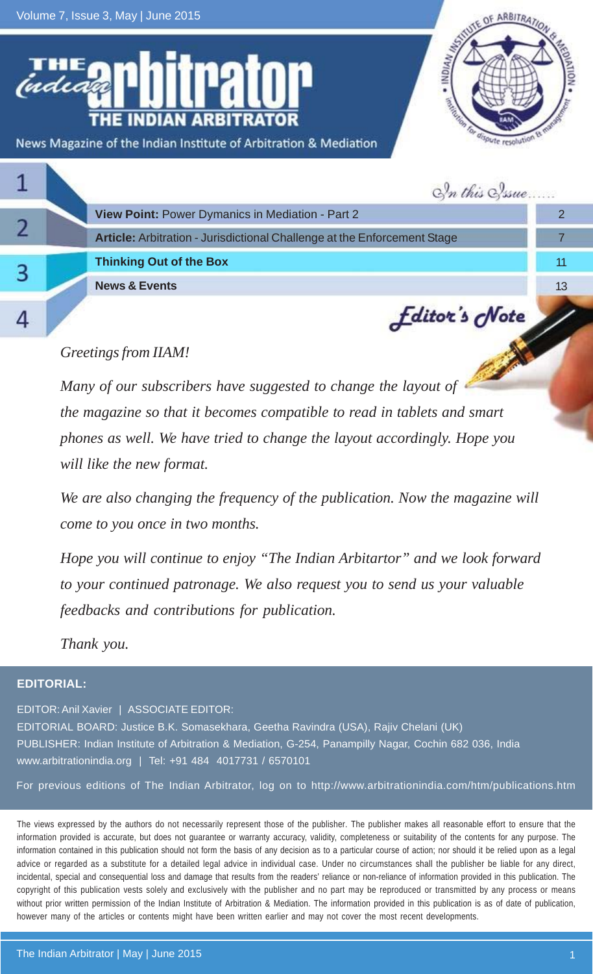Volume 7, Issue 3, May | June 2015



| News Magazine of the Indian Institute of Arbitration & Mediation |
|------------------------------------------------------------------|
|------------------------------------------------------------------|

|  |  | In this Sysue                                                            |    |
|--|--|--------------------------------------------------------------------------|----|
|  |  | View Point: Power Dymanics in Mediation - Part 2                         |    |
|  |  | Article: Arbitration - Jurisdictional Challenge at the Enforcement Stage |    |
|  |  | <b>Thinking Out of the Box</b>                                           | 11 |
|  |  | <b>News &amp; Events</b>                                                 | 13 |
|  |  | <b><i><u>Editor's</u></i></b> Note                                       |    |

### *Greetings from IIAM!*

*Many of our subscribers have suggested to change the layout of the magazine so that it becomes compatible to read in tablets and smart phones as well. We have tried to change the layout accordingly. Hope you will like the new format.*

We are also changing the frequency of the publication. Now the magazine will *come to you once in two months.*

*Hope you will continue to enjoy "The Indian Arbitartor" and we look forward to your continued patronage. We also request you to send us your valuable feedbacks and contributions for publication.*

*Thank you.*

#### **EDITORIAL:**

EDITOR: Anil Xavier | ASSOCIATE EDITOR: EDITORIAL BOARD: Justice B.K. Somasekhara, Geetha Ravindra (USA), Rajiv Chelani (UK) PUBLISHER: Indian Institute of Arbitration & Mediation, G-254, Panampilly Nagar, Cochin 682 036, India www.arbitrationindia.org | Tel: +91 484 4017731 / 6570101

For previous editions of The Indian Arbitrator, log on to http://www.arbitrationindia.com/htm/publications.htm

The views expressed by the authors do not necessarily represent those of the publisher. The publisher makes all reasonable effort to ensure that the information provided is accurate, but does not guarantee or warranty accuracy, validity, completeness or suitability of the contents for any purpose. The information contained in this publication should not form the basis of any decision as to a particular course of action; nor should it be relied upon as a legal advice or regarded as a substitute for a detailed legal advice in individual case. Under no circumstances shall the publisher be liable for any direct, incidental, special and consequential loss and damage that results from the readers' reliance or non-reliance of information provided in this publication. The copyright of this publication vests solely and exclusively with the publisher and no part may be reproduced or transmitted by any process or means without prior written permission of the Indian Institute of Arbitration & Mediation. The information provided in this publication is as of date of publication, however many of the articles or contents might have been written earlier and may not cover the most recent developments.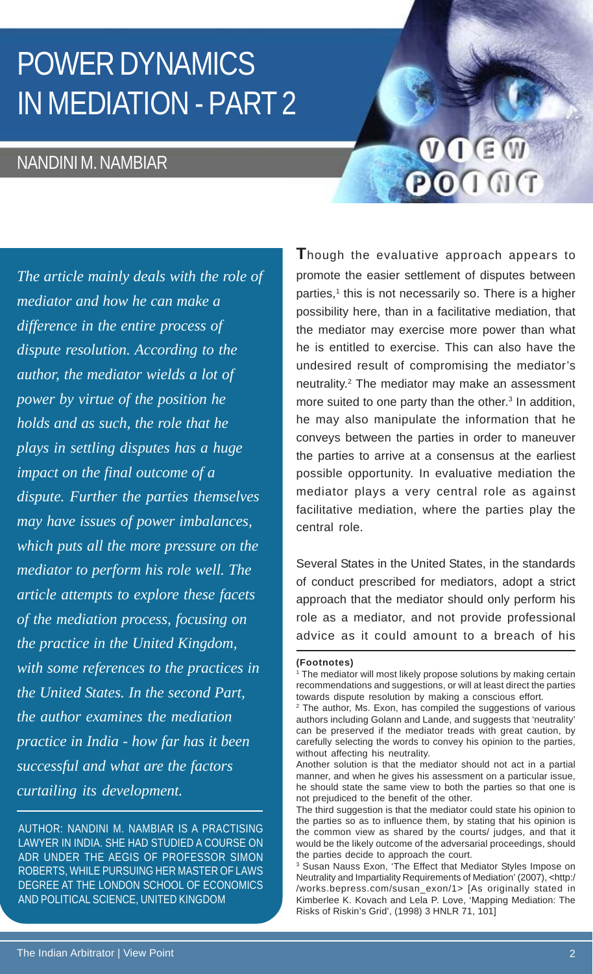# POWER DYNAMICS IN MEDIATION - PART 2

### NANDINI M. NAMBIAR

**VOC** 

*The article mainly deals with the role of mediator and how he can make a difference in the entire process of dispute resolution. According to the author, the mediator wields a lot of power by virtue of the position he holds and as such, the role that he plays in settling disputes has a huge impact on the final outcome of a dispute. Further the parties themselves may have issues of power imbalances, which puts all the more pressure on the mediator to perform his role well. The article attempts to explore these facets of the mediation process, focusing on the practice in the United Kingdom, with some references to the practices in the United States. In the second Part, the author examines the mediation practice in India - how far has it been successful and what are the factors curtailing its development.*

AUTHOR: NANDINI M. NAMBIAR IS A PRACTISING LAWYER IN INDIA. SHE HAD STUDIED A COURSE ON ADR UNDER THE AEGIS OF PROFESSOR SIMON ROBERTS, WHILE PURSUING HER MASTER OF LAWS DEGREE AT THE LONDON SCHOOL OF ECONOMICS AND POLITICAL SCIENCE, UNITED KINGDOM

**T**hough the evaluative approach appears to promote the easier settlement of disputes between parties,<sup>1</sup> this is not necessarily so. There is a higher possibility here, than in a facilitative mediation, that the mediator may exercise more power than what he is entitled to exercise. This can also have the undesired result of compromising the mediator's neutrality.2 The mediator may make an assessment more suited to one party than the other.<sup>3</sup> In addition, he may also manipulate the information that he conveys between the parties in order to maneuver the parties to arrive at a consensus at the earliest possible opportunity. In evaluative mediation the mediator plays a very central role as against facilitative mediation, where the parties play the central role.

Several States in the United States, in the standards of conduct prescribed for mediators, adopt a strict approach that the mediator should only perform his role as a mediator, and not provide professional advice as it could amount to a breach of his

#### **(Footnotes)**

The mediator will most likely propose solutions by making certain recommendations and suggestions, or will at least direct the parties towards dispute resolution by making a conscious effort.

<sup>&</sup>lt;sup>2</sup> The author, Ms. Exon, has compiled the suggestions of various authors including Golann and Lande, and suggests that 'neutrality' can be preserved if the mediator treads with great caution, by carefully selecting the words to convey his opinion to the parties, without affecting his neutrality.

Another solution is that the mediator should not act in a partial manner, and when he gives his assessment on a particular issue, he should state the same view to both the parties so that one is not prejudiced to the benefit of the other.

The third suggestion is that the mediator could state his opinion to the parties so as to influence them, by stating that his opinion is the common view as shared by the courts/ judges, and that it would be the likely outcome of the adversarial proceedings, should the parties decide to approach the court.

<sup>&</sup>lt;sup>3</sup> Susan Nauss Exon, 'The Effect that Mediator Styles Impose on Neutrality and Impartiality Requirements of Mediation' (2007), <http:/ /works.bepress.com/susan\_exon/1> [As originally stated in Kimberlee K. Kovach and Lela P. Love, 'Mapping Mediation: The Risks of Riskin's Grid', (1998) 3 HNLR 71, 101]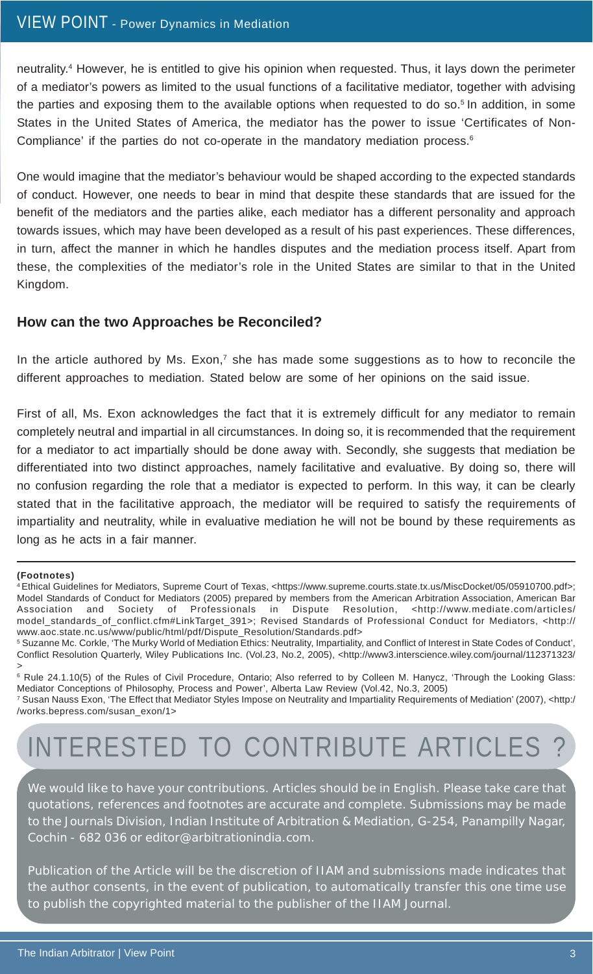neutrality.4 However, he is entitled to give his opinion when requested. Thus, it lays down the perimeter of a mediator's powers as limited to the usual functions of a facilitative mediator, together with advising the parties and exposing them to the available options when requested to do so.<sup>5</sup> In addition, in some States in the United States of America, the mediator has the power to issue 'Certificates of Non-Compliance' if the parties do not co-operate in the mandatory mediation process.<sup>6</sup>

One would imagine that the mediator's behaviour would be shaped according to the expected standards of conduct. However, one needs to bear in mind that despite these standards that are issued for the benefit of the mediators and the parties alike, each mediator has a different personality and approach towards issues, which may have been developed as a result of his past experiences. These differences, in turn, affect the manner in which he handles disputes and the mediation process itself. Apart from these, the complexities of the mediator's role in the United States are similar to that in the United Kingdom.

#### **How can the two Approaches be Reconciled?**

In the article authored by Ms. Exon,<sup>7</sup> she has made some suggestions as to how to reconcile the different approaches to mediation. Stated below are some of her opinions on the said issue.

First of all, Ms. Exon acknowledges the fact that it is extremely difficult for any mediator to remain completely neutral and impartial in all circumstances. In doing so, it is recommended that the requirement for a mediator to act impartially should be done away with. Secondly, she suggests that mediation be differentiated into two distinct approaches, namely facilitative and evaluative. By doing so, there will no confusion regarding the role that a mediator is expected to perform. In this way, it can be clearly stated that in the facilitative approach, the mediator will be required to satisfy the requirements of impartiality and neutrality, while in evaluative mediation he will not be bound by these requirements as long as he acts in a fair manner.

#### **(Footnotes)**

4 Ethical Guidelines for Mediators, Supreme Court of Texas, <https://www.supreme.courts.state.tx.us/MiscDocket/05/05910700.pdf>; Model Standards of Conduct for Mediators (2005) prepared by members from the American Arbitration Association, American Bar Association and Society of Professionals in Dispute Resolution, <http://www.mediate.com/articles/ model\_standards\_of\_conflict.cfm#LinkTarget\_391>; Revised Standards of Professional Conduct for Mediators, <http:// www.aoc.state.nc.us/www/public/html/pdf/Dispute\_Resolution/Standards.pdf>

5 Suzanne Mc. Corkle, 'The Murky World of Mediation Ethics: Neutrality, Impartiality, and Conflict of Interest in State Codes of Conduct', Conflict Resolution Quarterly, Wiley Publications Inc. (Vol.23, No.2, 2005), <http://www3.interscience.wiley.com/journal/112371323/

> 6 Rule 24.1.10(5) of the Rules of Civil Procedure, Ontario; Also referred to by Colleen M. Hanycz, 'Through the Looking Glass: Mediator Conceptions of Philosophy, Process and Power', Alberta Law Review (Vol.42, No.3, 2005)

7 Susan Nauss Exon, 'The Effect that Mediator Styles Impose on Neutrality and Impartiality Requirements of Mediation' (2007), <http:/ /works.bepress.com/susan\_exon/1>

# INTERESTED TO CONTRIBUTE ARTICLES ?

We would like to have your contributions. Articles should be in English. Please take care that quotations, references and footnotes are accurate and complete. Submissions may be made to the Journals Division, Indian Institute of Arbitration & Mediation, G-254, Panampilly Nagar, Cochin - 682 036 or editor@arbitrationindia.com.

Publication of the Article will be the discretion of IIAM and submissions made indicates that the author consents, in the event of publication, to automatically transfer this one time use to publish the copyrighted material to the publisher of the IIAM Journal.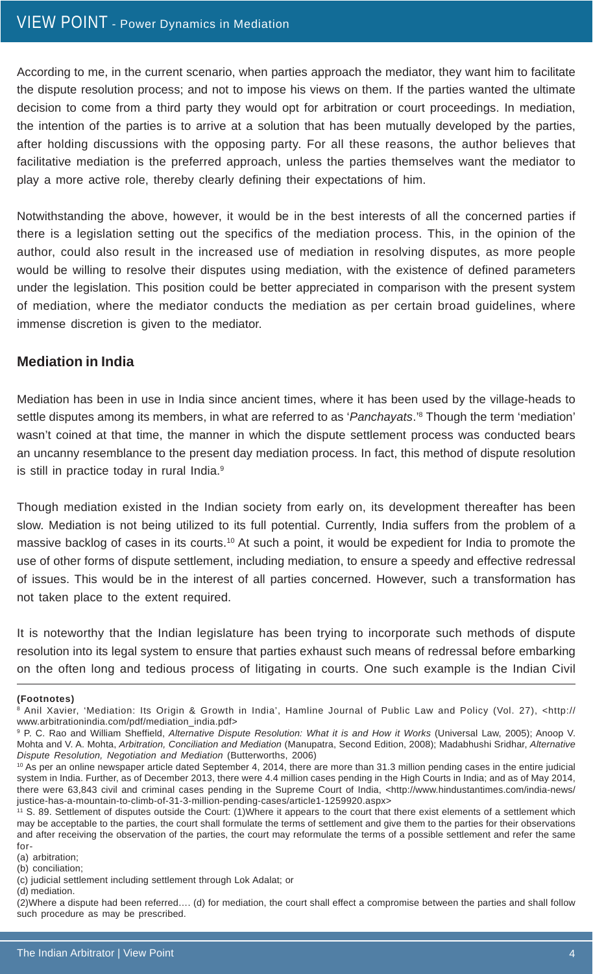According to me, in the current scenario, when parties approach the mediator, they want him to facilitate the dispute resolution process; and not to impose his views on them. If the parties wanted the ultimate decision to come from a third party they would opt for arbitration or court proceedings. In mediation, the intention of the parties is to arrive at a solution that has been mutually developed by the parties, after holding discussions with the opposing party. For all these reasons, the author believes that facilitative mediation is the preferred approach, unless the parties themselves want the mediator to play a more active role, thereby clearly defining their expectations of him.

Notwithstanding the above, however, it would be in the best interests of all the concerned parties if there is a legislation setting out the specifics of the mediation process. This, in the opinion of the author, could also result in the increased use of mediation in resolving disputes, as more people would be willing to resolve their disputes using mediation, with the existence of defined parameters under the legislation. This position could be better appreciated in comparison with the present system of mediation, where the mediator conducts the mediation as per certain broad guidelines, where immense discretion is given to the mediator.

#### **Mediation in India**

Mediation has been in use in India since ancient times, where it has been used by the village-heads to settle disputes among its members, in what are referred to as '*Panchayats*.'8 Though the term 'mediation' wasn't coined at that time, the manner in which the dispute settlement process was conducted bears an uncanny resemblance to the present day mediation process. In fact, this method of dispute resolution is still in practice today in rural India.<sup>9</sup>

Though mediation existed in the Indian society from early on, its development thereafter has been slow. Mediation is not being utilized to its full potential. Currently, India suffers from the problem of a massive backlog of cases in its courts.10 At such a point, it would be expedient for India to promote the use of other forms of dispute settlement, including mediation, to ensure a speedy and effective redressal of issues. This would be in the interest of all parties concerned. However, such a transformation has not taken place to the extent required.

It is noteworthy that the Indian legislature has been trying to incorporate such methods of dispute resolution into its legal system to ensure that parties exhaust such means of redressal before embarking on the often long and tedious process of litigating in courts. One such example is the Indian Civil

(a) arbitration; (b) conciliation:

(d) mediation.

**<sup>(</sup>Footnotes)**

<sup>8</sup> Anil Xavier, 'Mediation: Its Origin & Growth in India', Hamline Journal of Public Law and Policy (Vol. 27), <http:// www.arbitrationindia.com/pdf/mediation\_india.pdf>

<sup>&</sup>lt;sup>9</sup> P. C. Rao and William Sheffield, *Alternative Dispute Resolution: What it is and How it Works* (Universal Law, 2005); Anoop V. Mohta and V. A. Mohta, *Arbitration, Conciliation and Mediation* (Manupatra, Second Edition, 2008); Madabhushi Sridhar, *Alternative Dispute Resolution, Negotiation and Mediation* (Butterworths, 2006)

<sup>10</sup> As per an online newspaper article dated September 4, 2014, there are more than 31.3 million pending cases in the entire judicial system in India. Further, as of December 2013, there were 4.4 million cases pending in the High Courts in India; and as of May 2014, there were 63,843 civil and criminal cases pending in the Supreme Court of India, <http://www.hindustantimes.com/india-news/ justice-has-a-mountain-to-climb-of-31-3-million-pending-cases/article1-1259920.aspx>

<sup>11</sup> S. 89. Settlement of disputes outside the Court: (1)Where it appears to the court that there exist elements of a settlement which may be acceptable to the parties, the court shall formulate the terms of settlement and give them to the parties for their observations and after receiving the observation of the parties, the court may reformulate the terms of a possible settlement and refer the same for-

<sup>(</sup>c) judicial settlement including settlement through Lok Adalat; or

<sup>(2)</sup>Where a dispute had been referred…. (d) for mediation, the court shall effect a compromise between the parties and shall follow such procedure as may be prescribed.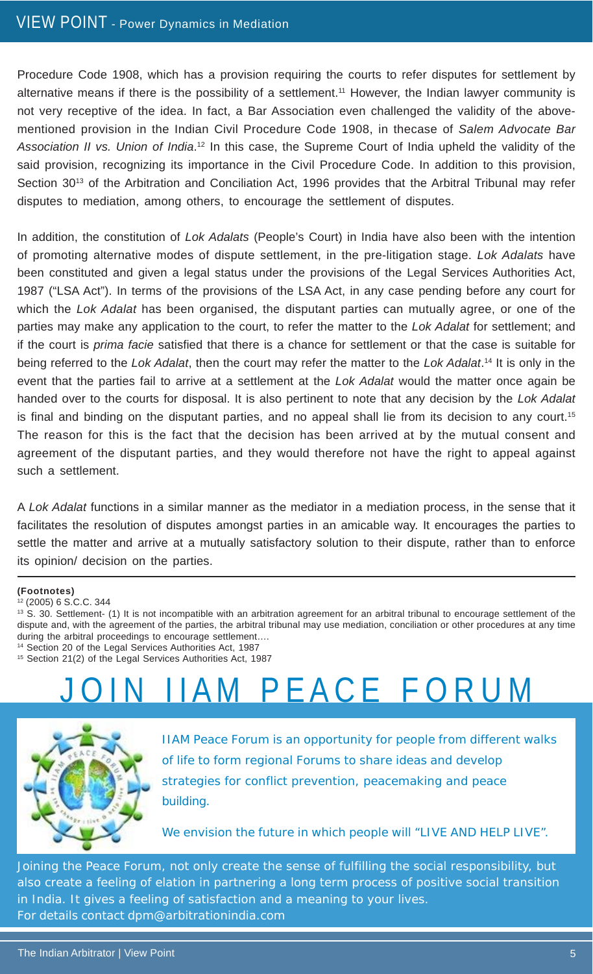Procedure Code 1908, which has a provision requiring the courts to refer disputes for settlement by alternative means if there is the possibility of a settlement.<sup>11</sup> However, the Indian lawyer community is not very receptive of the idea. In fact, a Bar Association even challenged the validity of the abovementioned provision in the Indian Civil Procedure Code 1908, in thecase of *Salem Advocate Bar Association II vs. Union of India*. 12 In this case, the Supreme Court of India upheld the validity of the said provision, recognizing its importance in the Civil Procedure Code. In addition to this provision, Section 30<sup>13</sup> of the Arbitration and Conciliation Act, 1996 provides that the Arbitral Tribunal may refer disputes to mediation, among others, to encourage the settlement of disputes.

In addition, the constitution of *Lok Adalats* (People's Court) in India have also been with the intention of promoting alternative modes of dispute settlement, in the pre-litigation stage. *Lok Adalats* have been constituted and given a legal status under the provisions of the Legal Services Authorities Act, 1987 ("LSA Act"). In terms of the provisions of the LSA Act, in any case pending before any court for which the *Lok Adalat* has been organised, the disputant parties can mutually agree, or one of the parties may make any application to the court, to refer the matter to the *Lok Adalat* for settlement; and if the court is *prima facie* satisfied that there is a chance for settlement or that the case is suitable for being referred to the *Lok Adalat*, then the court may refer the matter to the *Lok Adalat*. 14 It is only in the event that the parties fail to arrive at a settlement at the *Lok Adalat* would the matter once again be handed over to the courts for disposal. It is also pertinent to note that any decision by the *Lok Adalat* is final and binding on the disputant parties, and no appeal shall lie from its decision to any court.<sup>15</sup> The reason for this is the fact that the decision has been arrived at by the mutual consent and agreement of the disputant parties, and they would therefore not have the right to appeal against such a settlement.

A *Lok Adalat* functions in a similar manner as the mediator in a mediation process, in the sense that it facilitates the resolution of disputes amongst parties in an amicable way. It encourages the parties to settle the matter and arrive at a mutually satisfactory solution to their dispute, rather than to enforce its opinion/ decision on the parties.

#### **(Footnotes)**

12 (2005) 6 S.C.C. 344

<sup>14</sup> Section 20 of the Legal Services Authorities Act, 1987 15 Section 21(2) of the Legal Services Authorities Act, 1987

# AM PEACE FORUM



IIAM Peace Forum is an opportunity for people from different walks of life to form regional Forums to share ideas and develop strategies for conflict prevention, peacemaking and peace building.

We envision the future in which people will "LIVE AND HELP LIVE".

Joining the Peace Forum, not only create the sense of fulfilling the social responsibility, but also create a feeling of elation in partnering a long term process of positive social transition in India. It gives a feeling of satisfaction and a meaning to your lives. For details contact dpm@arbitrationindia.com

<sup>&</sup>lt;sup>13</sup> S. 30. Settlement- (1) It is not incompatible with an arbitration agreement for an arbitral tribunal to encourage settlement of the dispute and, with the agreement of the parties, the arbitral tribunal may use mediation, conciliation or other procedures at any time during the arbitral proceedings to encourage settlement….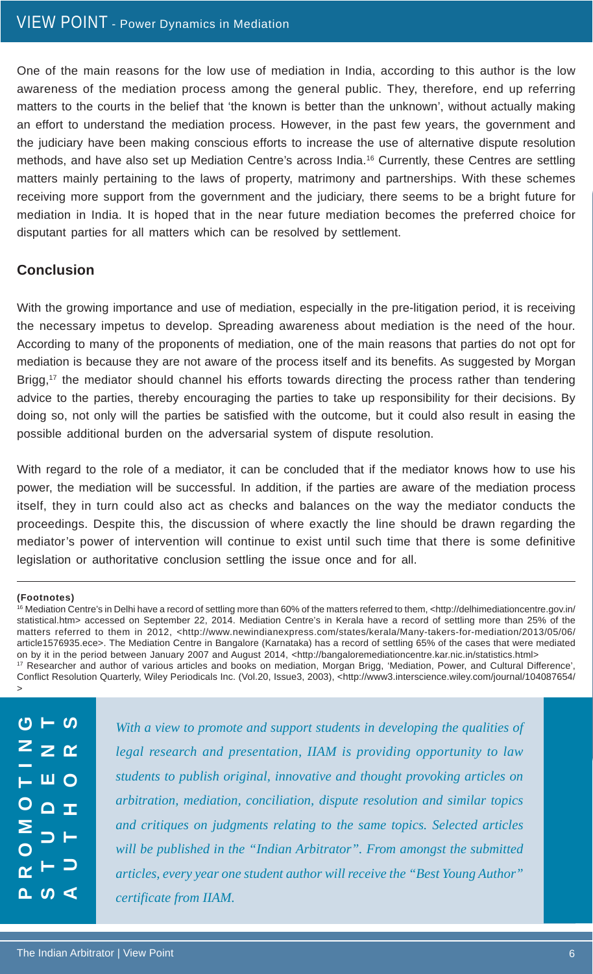One of the main reasons for the low use of mediation in India, according to this author is the low awareness of the mediation process among the general public. They, therefore, end up referring matters to the courts in the belief that 'the known is better than the unknown', without actually making an effort to understand the mediation process. However, in the past few years, the government and the judiciary have been making conscious efforts to increase the use of alternative dispute resolution methods, and have also set up Mediation Centre's across India.16 Currently, these Centres are settling matters mainly pertaining to the laws of property, matrimony and partnerships. With these schemes receiving more support from the government and the judiciary, there seems to be a bright future for mediation in India. It is hoped that in the near future mediation becomes the preferred choice for disputant parties for all matters which can be resolved by settlement.

#### **Conclusion**

With the growing importance and use of mediation, especially in the pre-litigation period, it is receiving the necessary impetus to develop. Spreading awareness about mediation is the need of the hour. According to many of the proponents of mediation, one of the main reasons that parties do not opt for mediation is because they are not aware of the process itself and its benefits. As suggested by Morgan Brigg,<sup>17</sup> the mediator should channel his efforts towards directing the process rather than tendering advice to the parties, thereby encouraging the parties to take up responsibility for their decisions. By doing so, not only will the parties be satisfied with the outcome, but it could also result in easing the possible additional burden on the adversarial system of dispute resolution.

With regard to the role of a mediator, it can be concluded that if the mediator knows how to use his power, the mediation will be successful. In addition, if the parties are aware of the mediation process itself, they in turn could also act as checks and balances on the way the mediator conducts the proceedings. Despite this, the discussion of where exactly the line should be drawn regarding the mediator's power of intervention will continue to exist until such time that there is some definitive legislation or authoritative conclusion settling the issue once and for all.

#### **(Footnotes)**

>

16 Mediation Centre's in Delhi have a record of settling more than 60% of the matters referred to them, <http://delhimediationcentre.gov.in/ statistical.htm> accessed on September 22, 2014. Mediation Centre's in Kerala have a record of settling more than 25% of the matters referred to them in 2012, <http://www.newindianexpress.com/states/kerala/Many-takers-for-mediation/2013/05/06/ article1576935.ece>. The Mediation Centre in Bangalore (Karnataka) has a record of settling 65% of the cases that were mediated on by it in the period between January 2007 and August 2014, <http://bangaloremediationcentre.kar.nic.in/statistics.html> 17 Researcher and author of various articles and books on mediation, Morgan Brigg, 'Mediation, Power, and Cultural Difference', Conflict Resolution Quarterly, Wiley Periodicals Inc. (Vol.20, Issue3, 2003), <http://www3.interscience.wiley.com/journal/104087654/

|                              | ပ $-$ ပ                                           |  |
|------------------------------|---------------------------------------------------|--|
|                              | $\overline{z}$ $\overline{z}$ $\overline{\alpha}$ |  |
|                              | $\overline{\vdash}$ $\sqcup$ $\bigcirc$           |  |
|                              | $O$ $\Delta$ $\pm$                                |  |
| Σ<br>$\overline{\mathsf{C}}$ | DH                                                |  |
| $\overline{\mathbf{r}}$      | $\overline{F}$                                    |  |
|                              | $\overline{a}$ is $\overline{a}$                  |  |

*With a view to promote and support students in developing the qualities of legal research and presentation, IIAM is providing opportunity to law students to publish original, innovative and thought provoking articles on arbitration, mediation, conciliation, dispute resolution and similar topics and critiques on judgments relating to the same topics. Selected articles will be published in the "Indian Arbitrator". From amongst the submitted articles, every year one student author will receive the "Best Young Author" certificate from IIAM.*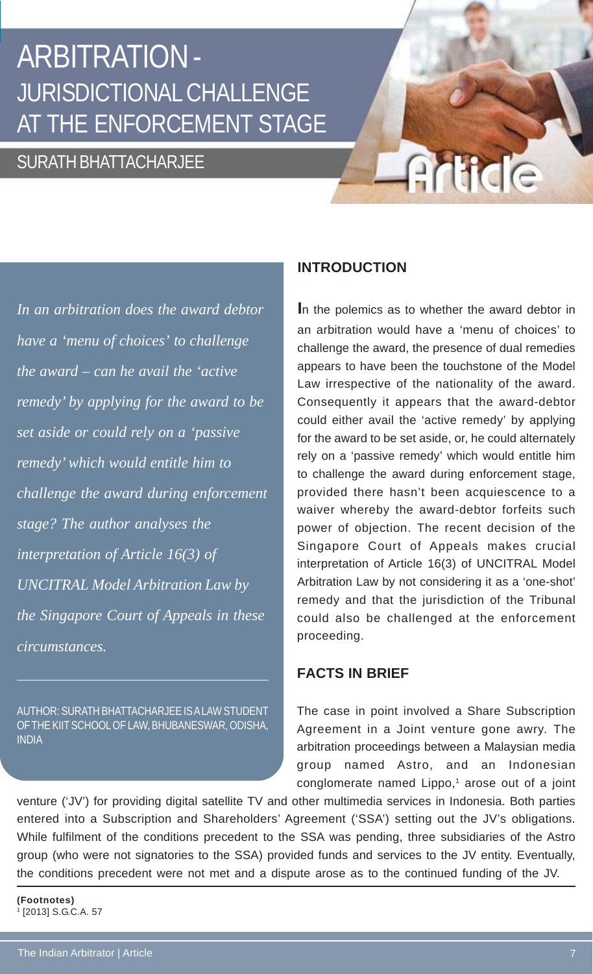# ARBITRATION - JURISDICTIONAL CHALLENGE AT THE ENFORCEMENT STAGE

### SURATH BHATTACHARJEE

*In an arbitration does the award debtor have a 'menu of choices' to challenge the award – can he avail the 'active remedy' by applying for the award to be set aside or could rely on a 'passive remedy' which would entitle him to challenge the award during enforcement stage? The author analyses the interpretation of Article 16(3) of UNCITRAL Model Arbitration Law by the Singapore Court of Appeals in these circumstances.*

AUTHOR: SURATH BHATTACHARJEE IS A LAW STUDENT OF THE KIIT SCHOOL OF LAW, BHUBANESWAR, ODISHA, INDIA

### **INTRODUCTION**

**I**n the polemics as to whether the award debtor in an arbitration would have a 'menu of choices' to challenge the award, the presence of dual remedies appears to have been the touchstone of the Model Law irrespective of the nationality of the award. Consequently it appears that the award-debtor could either avail the 'active remedy' by applying for the award to be set aside, or, he could alternately rely on a 'passive remedy' which would entitle him to challenge the award during enforcement stage, provided there hasn't been acquiescence to a waiver whereby the award-debtor forfeits such power of objection. The recent decision of the Singapore Court of Appeals makes crucial interpretation of Article 16(3) of UNCITRAL Model Arbitration Law by not considering it as a 'one-shot' remedy and that the jurisdiction of the Tribunal could also be challenged at the enforcement proceeding.

Article

### **FACTS IN BRIEF**

The case in point involved a Share Subscription Agreement in a Joint venture gone awry. The arbitration proceedings between a Malaysian media group named Astro, and an Indonesian  $conglomerate$  named Lippo, $1$  arose out of a joint

venture ('JV') for providing digital satellite TV and other multimedia services in Indonesia. Both parties entered into a Subscription and Shareholders' Agreement ('SSA') setting out the JV's obligations. While fulfilment of the conditions precedent to the SSA was pending, three subsidiaries of the Astro group (who were not signatories to the SSA) provided funds and services to the JV entity. Eventually, the conditions precedent were not met and a dispute arose as to the continued funding of the JV.

**(Footnotes)** 1 [2013] S.G.C.A. 57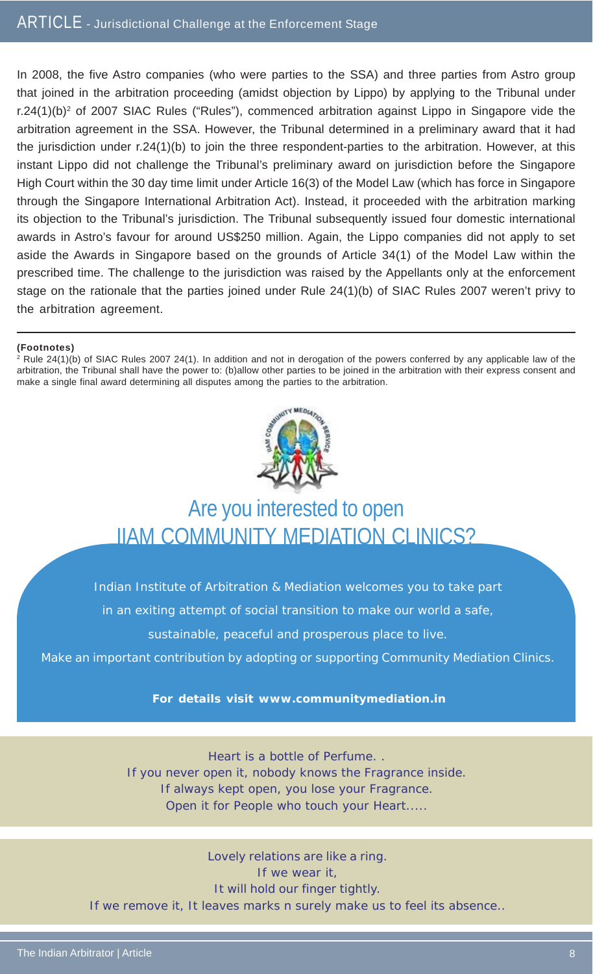In 2008, the five Astro companies (who were parties to the SSA) and three parties from Astro group that joined in the arbitration proceeding (amidst objection by Lippo) by applying to the Tribunal under r.24(1)(b)<sup>2</sup> of 2007 SIAC Rules ("Rules"), commenced arbitration against Lippo in Singapore vide the arbitration agreement in the SSA. However, the Tribunal determined in a preliminary award that it had the jurisdiction under r.24(1)(b) to join the three respondent-parties to the arbitration. However, at this instant Lippo did not challenge the Tribunal's preliminary award on jurisdiction before the Singapore High Court within the 30 day time limit under Article 16(3) of the Model Law (which has force in Singapore through the Singapore International Arbitration Act). Instead, it proceeded with the arbitration marking its objection to the Tribunal's jurisdiction. The Tribunal subsequently issued four domestic international awards in Astro's favour for around US\$250 million. Again, the Lippo companies did not apply to set aside the Awards in Singapore based on the grounds of Article 34(1) of the Model Law within the prescribed time. The challenge to the jurisdiction was raised by the Appellants only at the enforcement stage on the rationale that the parties joined under Rule 24(1)(b) of SIAC Rules 2007 weren't privy to the arbitration agreement.

#### **(Footnotes)**

<sup>2</sup> Rule 24(1)(b) of SIAC Rules 2007 24(1). In addition and not in derogation of the powers conferred by any applicable law of the arbitration, the Tribunal shall have the power to: (b)allow other parties to be joined in the arbitration with their express consent and make a single final award determining all disputes among the parties to the arbitration.



### Are you interested to open IIAM COMMUNITY MEDIATION CLINICS?

Indian Institute of Arbitration & Mediation welcomes you to take part

in an exiting attempt of social transition to make our world a safe,

sustainable, peaceful and prosperous place to live.

Make an important contribution by adopting or supporting Community Mediation Clinics.

#### **For details visit www.communitymediation.in**

Heart is a bottle of Perfume. . If you never open it, nobody knows the Fragrance inside. If always kept open, you lose your Fragrance. Open it for People who touch your Heart.....

Lovely relations are like a ring. If we wear it, It will hold our finger tightly. If we remove it, It leaves marks n surely make us to feel its absence..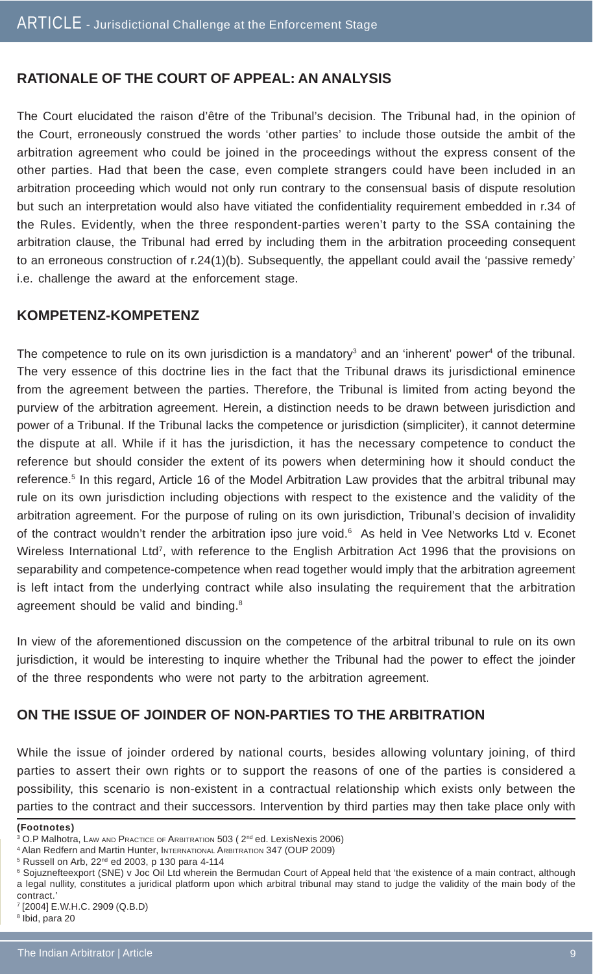#### **RATIONALE OF THE COURT OF APPEAL: AN ANALYSIS**

The Court elucidated the raison d'être of the Tribunal's decision. The Tribunal had, in the opinion of the Court, erroneously construed the words 'other parties' to include those outside the ambit of the arbitration agreement who could be joined in the proceedings without the express consent of the other parties. Had that been the case, even complete strangers could have been included in an arbitration proceeding which would not only run contrary to the consensual basis of dispute resolution but such an interpretation would also have vitiated the confidentiality requirement embedded in r.34 of the Rules. Evidently, when the three respondent-parties weren't party to the SSA containing the arbitration clause, the Tribunal had erred by including them in the arbitration proceeding consequent to an erroneous construction of r.24(1)(b). Subsequently, the appellant could avail the 'passive remedy' i.e. challenge the award at the enforcement stage.

#### **KOMPETENZ-KOMPETENZ**

The competence to rule on its own jurisdiction is a mandatory<sup>3</sup> and an 'inherent' power<sup>4</sup> of the tribunal. The very essence of this doctrine lies in the fact that the Tribunal draws its jurisdictional eminence from the agreement between the parties. Therefore, the Tribunal is limited from acting beyond the purview of the arbitration agreement. Herein, a distinction needs to be drawn between jurisdiction and power of a Tribunal. If the Tribunal lacks the competence or jurisdiction (simpliciter), it cannot determine the dispute at all. While if it has the jurisdiction, it has the necessary competence to conduct the reference but should consider the extent of its powers when determining how it should conduct the reference.<sup>5</sup> In this regard, Article 16 of the Model Arbitration Law provides that the arbitral tribunal may rule on its own jurisdiction including objections with respect to the existence and the validity of the arbitration agreement. For the purpose of ruling on its own jurisdiction, Tribunal's decision of invalidity of the contract wouldn't render the arbitration ipso jure void.<sup>6</sup> As held in Vee Networks Ltd v. Econet Wireless International Ltd<sup>7</sup>, with reference to the English Arbitration Act 1996 that the provisions on separability and competence-competence when read together would imply that the arbitration agreement is left intact from the underlying contract while also insulating the requirement that the arbitration agreement should be valid and binding.<sup>8</sup>

In view of the aforementioned discussion on the competence of the arbitral tribunal to rule on its own jurisdiction, it would be interesting to inquire whether the Tribunal had the power to effect the joinder of the three respondents who were not party to the arbitration agreement.

#### **ON THE ISSUE OF JOINDER OF NON-PARTIES TO THE ARBITRATION**

While the issue of joinder ordered by national courts, besides allowing voluntary joining, of third parties to assert their own rights or to support the reasons of one of the parties is considered a possibility, this scenario is non-existent in a contractual relationship which exists only between the parties to the contract and their successors. Intervention by third parties may then take place only with

**<sup>(</sup>Footnotes)**

 $^3$  O.P Malhotra, LAW AND PRACTICE OF ARBITRATION 503 ( $2<sup>nd</sup>$  ed. LexisNexis 2006)

<sup>4</sup> Alan Redfern and Martin Hunter, INTERNATIONAL ARBITRATION 347 (OUP 2009)

 $5$  Russell on Arb, 22<sup>nd</sup> ed 2003, p 130 para 4-114

<sup>&</sup>lt;sup>6</sup> Sojuznefteexport (SNE) v Joc Oil Ltd wherein the Bermudan Court of Appeal held that 'the existence of a main contract, although a legal nullity, constitutes a juridical platform upon which arbitral tribunal may stand to judge the validity of the main body of the contract.'

<sup>7</sup> [2004] E.W.H.C. 2909 (Q.B.D)

<sup>8</sup> Ibid, para 20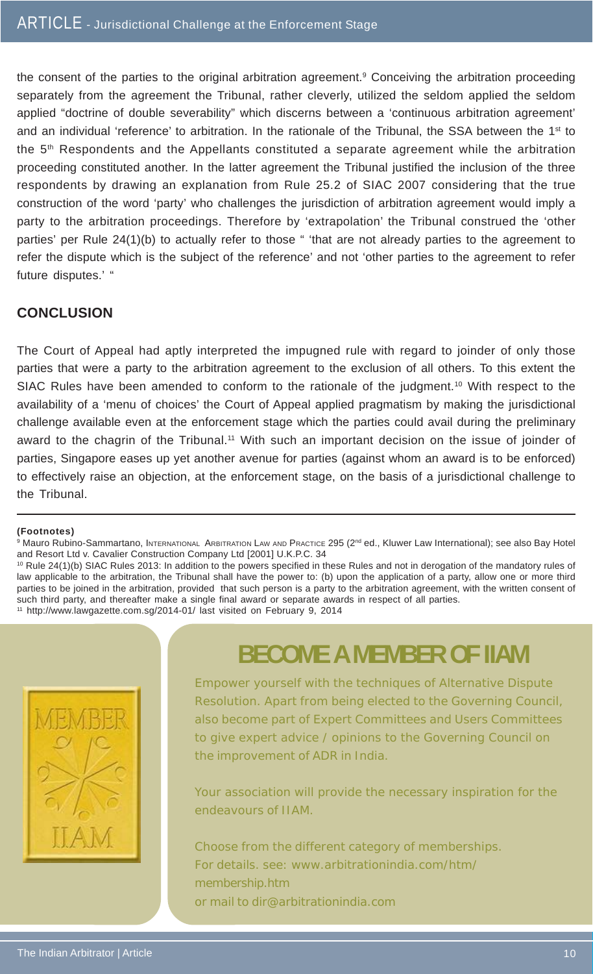the consent of the parties to the original arbitration agreement.<sup>9</sup> Conceiving the arbitration proceeding separately from the agreement the Tribunal, rather cleverly, utilized the seldom applied the seldom applied "doctrine of double severability" which discerns between a 'continuous arbitration agreement' and an individual 'reference' to arbitration. In the rationale of the Tribunal, the SSA between the 1<sup>st</sup> to the 5<sup>th</sup> Respondents and the Appellants constituted a separate agreement while the arbitration proceeding constituted another. In the latter agreement the Tribunal justified the inclusion of the three respondents by drawing an explanation from Rule 25.2 of SIAC 2007 considering that the true construction of the word 'party' who challenges the jurisdiction of arbitration agreement would imply a party to the arbitration proceedings. Therefore by 'extrapolation' the Tribunal construed the 'other parties' per Rule 24(1)(b) to actually refer to those " 'that are not already parties to the agreement to refer the dispute which is the subject of the reference' and not 'other parties to the agreement to refer future disputes.' "

### **CONCLUSION**

The Court of Appeal had aptly interpreted the impugned rule with regard to joinder of only those parties that were a party to the arbitration agreement to the exclusion of all others. To this extent the SIAC Rules have been amended to conform to the rationale of the judgment.<sup>10</sup> With respect to the availability of a 'menu of choices' the Court of Appeal applied pragmatism by making the jurisdictional challenge available even at the enforcement stage which the parties could avail during the preliminary award to the chagrin of the Tribunal.<sup>11</sup> With such an important decision on the issue of joinder of parties, Singapore eases up yet another avenue for parties (against whom an award is to be enforced) to effectively raise an objection, at the enforcement stage, on the basis of a jurisdictional challenge to the Tribunal.

#### **(Footnotes)**

10 Rule 24(1)(b) SIAC Rules 2013: In addition to the powers specified in these Rules and not in derogation of the mandatory rules of law applicable to the arbitration, the Tribunal shall have the power to: (b) upon the application of a party, allow one or more third parties to be joined in the arbitration, provided that such person is a party to the arbitration agreement, with the written consent of such third party, and thereafter make a single final award or separate awards in respect of all parties.

11 http://www.lawgazette.com.sg/2014-01/ last visited on February 9, 2014



## **BECOME A MEMBER OF IIAM**

Empower yourself with the techniques of Alternative Dispute Resolution. Apart from being elected to the Governing Council, also become part of Expert Committees and Users Committees to give expert advice / opinions to the Governing Council on the improvement of ADR in India.

Your association will provide the necessary inspiration for the endeavours of IIAM.

Choose from the different category of memberships. For details. see: www.arbitrationindia.com/htm/ membership.htm or mail to dir@arbitrationindia.com

<sup>9</sup> Mauro Rubino-Sammartano, Inтєкматіомац Аквіткатіом Law and Ркастісє 295 (2<sup>nd</sup> ed., Kluwer Law International); see also Bay Hotel and Resort Ltd v. Cavalier Construction Company Ltd [2001] U.K.P.C. 34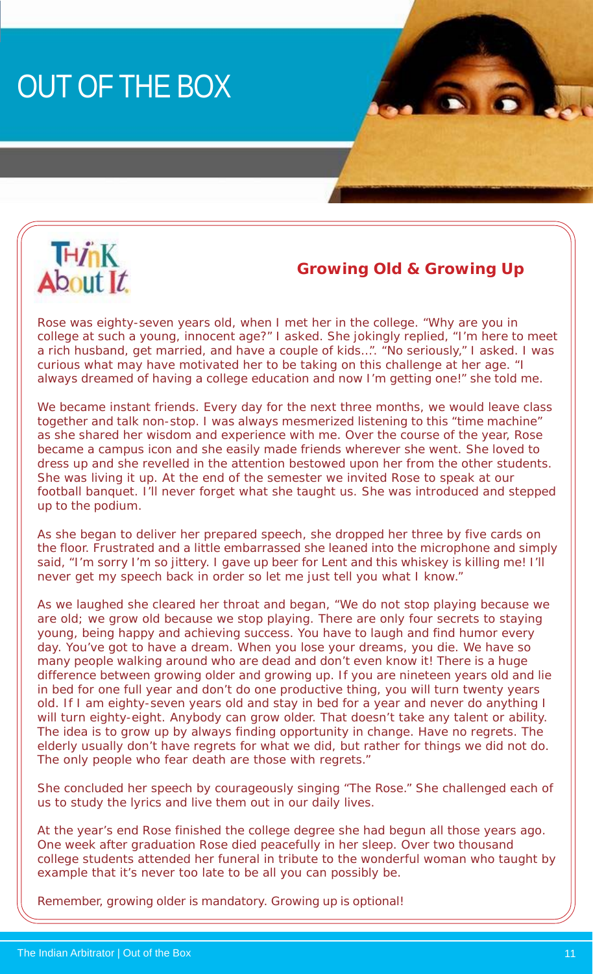# OUT OF THE BOX



### **Growing Old & Growing Up**

Rose was eighty-seven years old, when I met her in the college. "Why are you in college at such a young, innocent age?" I asked. She jokingly replied, "I'm here to meet a rich husband, get married, and have a couple of kids…". "No seriously," I asked. I was curious what may have motivated her to be taking on this challenge at her age. "I always dreamed of having a college education and now I'm getting one!" she told me.

We became instant friends. Every day for the next three months, we would leave class together and talk non-stop. I was always mesmerized listening to this "time machine" as she shared her wisdom and experience with me. Over the course of the year, Rose became a campus icon and she easily made friends wherever she went. She loved to dress up and she revelled in the attention bestowed upon her from the other students. She was living it up. At the end of the semester we invited Rose to speak at our football banquet. I'll never forget what she taught us. She was introduced and stepped up to the podium.

As she began to deliver her prepared speech, she dropped her three by five cards on the floor. Frustrated and a little embarrassed she leaned into the microphone and simply said, "I'm sorry I'm so jittery. I gave up beer for Lent and this whiskey is killing me! I'll never get my speech back in order so let me just tell you what I know."

As we laughed she cleared her throat and began, "We do not stop playing because we are old; we grow old because we stop playing. There are only four secrets to staying young, being happy and achieving success. You have to laugh and find humor every day. You've got to have a dream. When you lose your dreams, you die. We have so many people walking around who are dead and don't even know it! There is a huge difference between growing older and growing up. If you are nineteen years old and lie in bed for one full year and don't do one productive thing, you will turn twenty years old. If I am eighty-seven years old and stay in bed for a year and never do anything I will turn eighty-eight. Anybody can grow older. That doesn't take any talent or ability. The idea is to grow up by always finding opportunity in change. Have no regrets. The elderly usually don't have regrets for what we did, but rather for things we did not do. The only people who fear death are those with regrets."

She concluded her speech by courageously singing "The Rose." She challenged each of us to study the lyrics and live them out in our daily lives.

At the year's end Rose finished the college degree she had begun all those years ago. One week after graduation Rose died peacefully in her sleep. Over two thousand college students attended her funeral in tribute to the wonderful woman who taught by example that it's never too late to be all you can possibly be.

Remember, growing older is mandatory. Growing up is optional!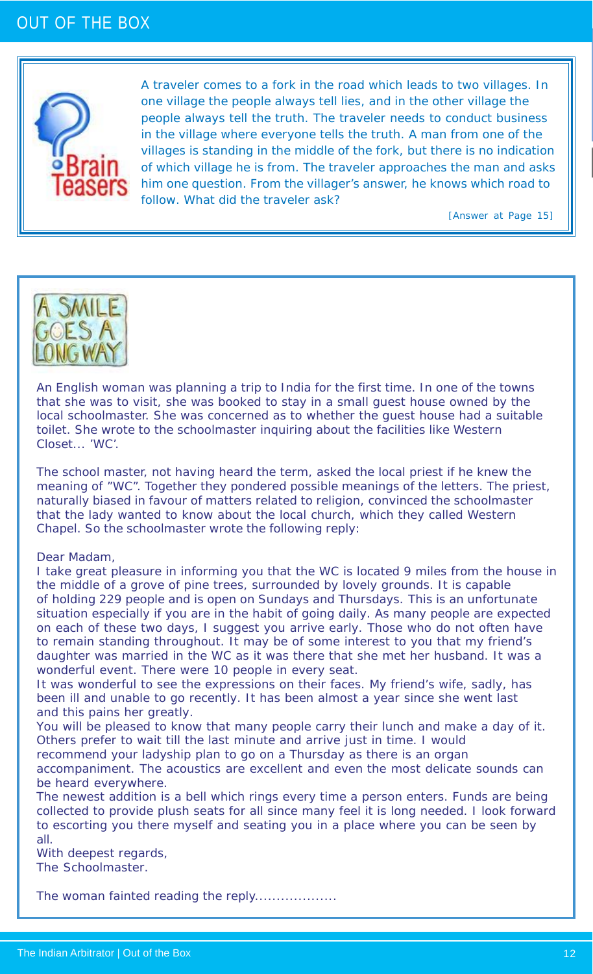### OUT OF THE BOX



A traveler comes to a fork in the road which leads to two villages. In one village the people always tell lies, and in the other village the people always tell the truth. The traveler needs to conduct business in the village where everyone tells the truth. A man from one of the villages is standing in the middle of the fork, but there is no indication of which village he is from. The traveler approaches the man and asks him one question. From the villager's answer, he knows which road to follow. What did the traveler ask?

[Answer at Page 15]



An English woman was planning a trip to India for the first time. In one of the towns that she was to visit, she was booked to stay in a small guest house owned by the local schoolmaster. She was concerned as to whether the guest house had a suitable toilet. She wrote to the schoolmaster inquiring about the facilities like Western Closet... 'WC'.

The school master, not having heard the term, asked the local priest if he knew the meaning of "WC". Together they pondered possible meanings of the letters. The priest, naturally biased in favour of matters related to religion, convinced the schoolmaster that the lady wanted to know about the local church, which they called Western Chapel. So the schoolmaster wrote the following reply:

#### *Dear Madam,*

*I take great pleasure in informing you that the WC is located 9 miles from the house in the middle of a grove of pine trees, surrounded by lovely grounds. It is capable of holding 229 people and is open on Sundays and Thursdays. This is an unfortunate situation especially if you are in the habit of going daily. As many people are expected on each of these two days, I suggest you arrive early. Those who do not often have to remain standing throughout. It may be of some interest to you that my friend's daughter was married in the WC as it was there that she met her husband. It was a wonderful event. There were 10 people in every seat.* 

*It was wonderful to see the expressions on their faces. My friend's wife, sadly, has been ill and unable to go recently. It has been almost a year since she went last and this pains her greatly.* 

*You will be pleased to know that many people carry their lunch and make a day of it. Others prefer to wait till the last minute and arrive just in time. I would recommend your ladyship plan to go on a Thursday as there is an organ accompaniment. The acoustics are excellent and even the most delicate sounds can be heard everywhere.*

*The newest addition is a bell which rings every time a person enters. Funds are being collected to provide plush seats for all since many feel it is long needed. I look forward to escorting you there myself and seating you in a place where you can be seen by all.* 

*With deepest regards, The Schoolmaster.* 

The woman fainted reading the reply...................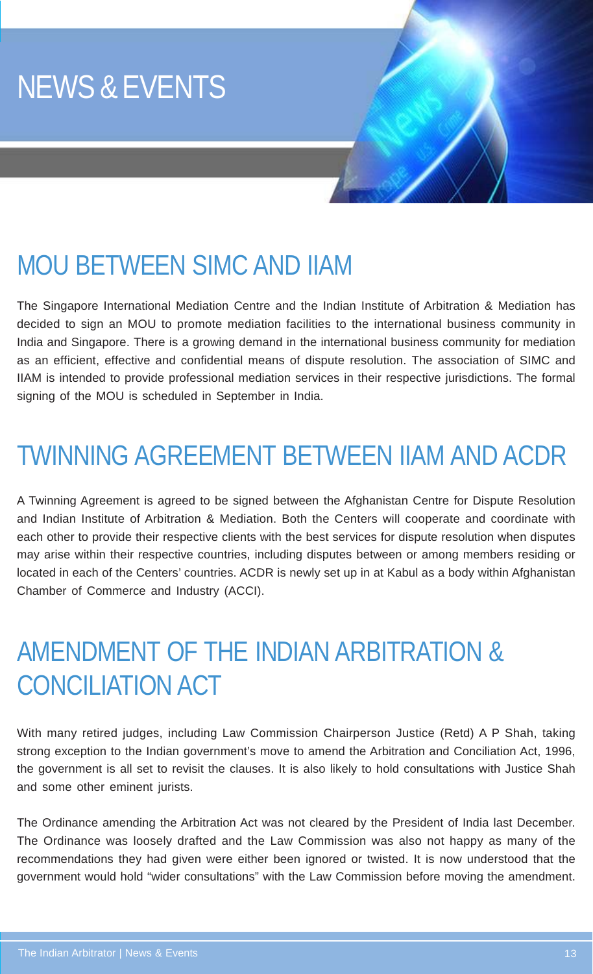# NEWS & EVENTS

# MOU BETWEEN SIMC AND IIAM

The Singapore International Mediation Centre and the Indian Institute of Arbitration & Mediation has decided to sign an MOU to promote mediation facilities to the international business community in India and Singapore. There is a growing demand in the international business community for mediation as an efficient, effective and confidential means of dispute resolution. The association of SIMC and IIAM is intended to provide professional mediation services in their respective jurisdictions. The formal signing of the MOU is scheduled in September in India.

# TWINNING AGREEMENT BETWEEN IIAM AND ACDR

A Twinning Agreement is agreed to be signed between the Afghanistan Centre for Dispute Resolution and Indian Institute of Arbitration & Mediation. Both the Centers will cooperate and coordinate with each other to provide their respective clients with the best services for dispute resolution when disputes may arise within their respective countries, including disputes between or among members residing or located in each of the Centers' countries. ACDR is newly set up in at Kabul as a body within Afghanistan Chamber of Commerce and Industry (ACCI).

# AMENDMENT OF THE INDIAN ARBITRATION & CONCILIATION ACT

With many retired judges, including Law Commission Chairperson Justice (Retd) A P Shah, taking strong exception to the Indian government's move to amend the Arbitration and Conciliation Act, 1996, the government is all set to revisit the clauses. It is also likely to hold consultations with Justice Shah and some other eminent jurists.

The Ordinance amending the Arbitration Act was not cleared by the President of India last December. The Ordinance was loosely drafted and the Law Commission was also not happy as many of the recommendations they had given were either been ignored or twisted. It is now understood that the government would hold "wider consultations" with the Law Commission before moving the amendment.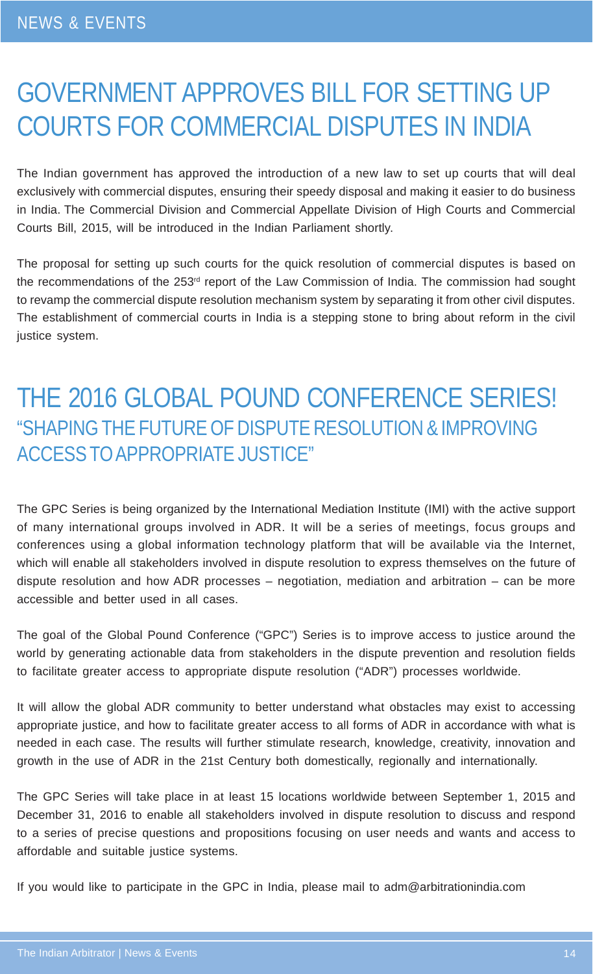# GOVERNMENT APPROVES BILL FOR SETTING UP COURTS FOR COMMERCIAL DISPUTES IN INDIA

The Indian government has approved the introduction of a new law to set up courts that will deal exclusively with commercial disputes, ensuring their speedy disposal and making it easier to do business in India. The Commercial Division and Commercial Appellate Division of High Courts and Commercial Courts Bill, 2015, will be introduced in the Indian Parliament shortly.

The proposal for setting up such courts for the quick resolution of commercial disputes is based on the recommendations of the  $253<sup>rd</sup>$  report of the Law Commission of India. The commission had sought to revamp the commercial dispute resolution mechanism system by separating it from other civil disputes. The establishment of commercial courts in India is a stepping stone to bring about reform in the civil justice system.

## THE 2016 GLOBAL POUND CONFERENCE SERIES! "SHAPING THE FUTURE OF DISPUTE RESOLUTION & IMPROVING ACCESS TO APPROPRIATE JUSTICE"

The GPC Series is being organized by the International Mediation Institute (IMI) with the active support of many international groups involved in ADR. It will be a series of meetings, focus groups and conferences using a global information technology platform that will be available via the Internet, which will enable all stakeholders involved in dispute resolution to express themselves on the future of dispute resolution and how ADR processes – negotiation, mediation and arbitration – can be more accessible and better used in all cases.

The goal of the Global Pound Conference ("GPC") Series is to improve access to justice around the world by generating actionable data from stakeholders in the dispute prevention and resolution fields to facilitate greater access to appropriate dispute resolution ("ADR") processes worldwide.

It will allow the global ADR community to better understand what obstacles may exist to accessing appropriate justice, and how to facilitate greater access to all forms of ADR in accordance with what is needed in each case. The results will further stimulate research, knowledge, creativity, innovation and growth in the use of ADR in the 21st Century both domestically, regionally and internationally.

The GPC Series will take place in at least 15 locations worldwide between September 1, 2015 and December 31, 2016 to enable all stakeholders involved in dispute resolution to discuss and respond to a series of precise questions and propositions focusing on user needs and wants and access to affordable and suitable justice systems.

If you would like to participate in the GPC in India, please mail to adm@arbitrationindia.com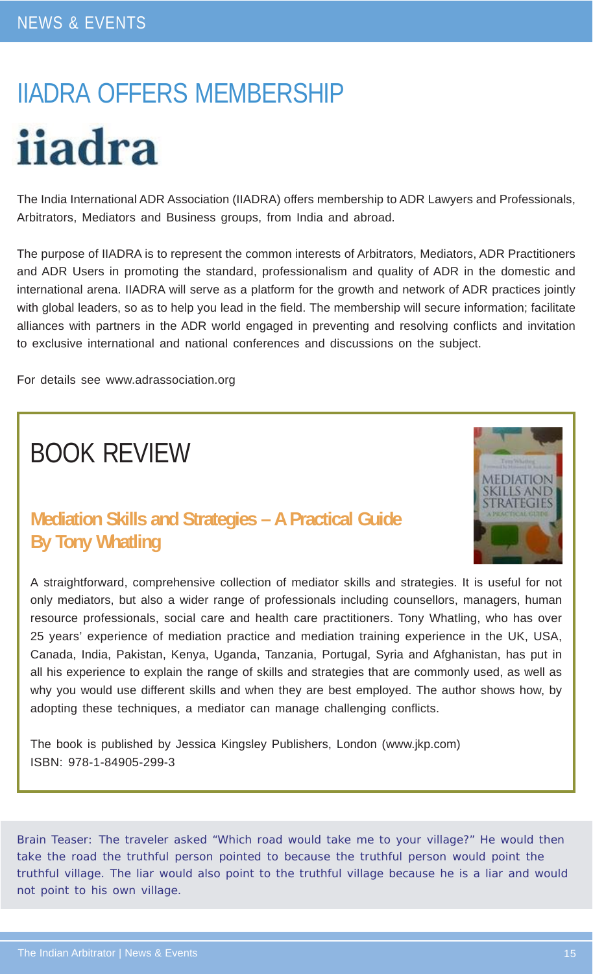# IIADRA OFFERS MEMBERSHIP iiadra

The India International ADR Association (IIADRA) offers membership to ADR Lawyers and Professionals, Arbitrators, Mediators and Business groups, from India and abroad.

The purpose of IIADRA is to represent the common interests of Arbitrators, Mediators, ADR Practitioners and ADR Users in promoting the standard, professionalism and quality of ADR in the domestic and international arena. IIADRA will serve as a platform for the growth and network of ADR practices jointly with global leaders, so as to help you lead in the field. The membership will secure information; facilitate alliances with partners in the ADR world engaged in preventing and resolving conflicts and invitation to exclusive international and national conferences and discussions on the subject.

For details see www.adrassociation.org

# BOOK REVIEW

### **Mediation Skills and Strategies – A Practical Guide By Tony Whatling**

A straightforward, comprehensive collection of mediator skills and strategies. It is useful for not only mediators, but also a wider range of professionals including counsellors, managers, human resource professionals, social care and health care practitioners. Tony Whatling, who has over 25 years' experience of mediation practice and mediation training experience in the UK, USA, Canada, India, Pakistan, Kenya, Uganda, Tanzania, Portugal, Syria and Afghanistan, has put in all his experience to explain the range of skills and strategies that are commonly used, as well as why you would use different skills and when they are best employed. The author shows how, by adopting these techniques, a mediator can manage challenging conflicts.

The book is published by Jessica Kingsley Publishers, London (www.jkp.com) ISBN: 978-1-84905-299-3

Brain Teaser: The traveler asked "Which road would take me to your village?" He would then take the road the truthful person pointed to because the truthful person would point the truthful village. The liar would also point to the truthful village because he is a liar and would not point to his own village.